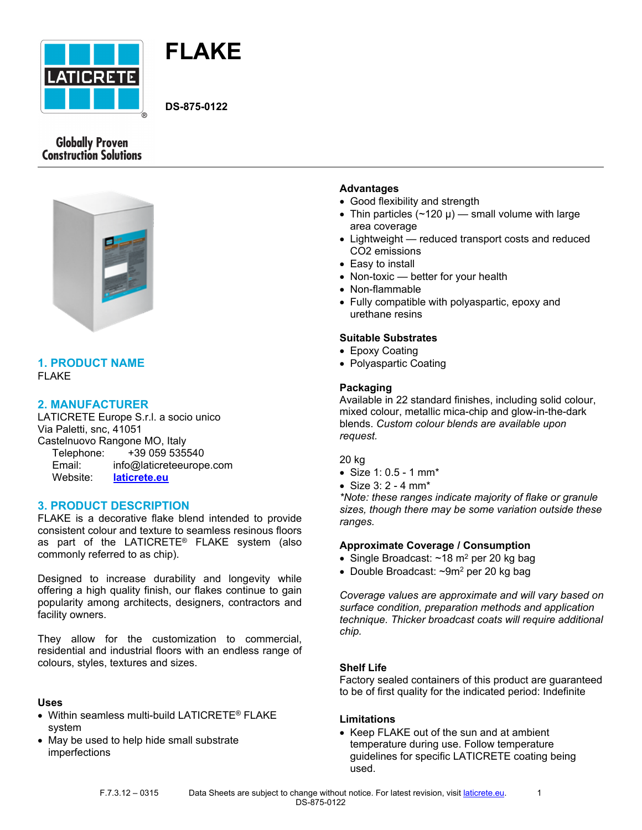



**DS-875-0122**

# **Globally Proven Construction Solutions**



## **1. PRODUCT NAME** FLAKE

## **2. MANUFACTURER**

LATICRETE Europe S.r.l. a socio unico Via Paletti, snc, 41051 Castelnuovo Rangone MO, Italy Telephone: +39 059 535540 Email: info@laticreteeurope.com Website: **[laticrete.eu](http://www.laticrete.eu/)**

## **3. PRODUCT DESCRIPTION**

FLAKE is a decorative flake blend intended to provide consistent colour and texture to seamless resinous floors as part of the LATICRETE® FLAKE system (also commonly referred to as chip).

Designed to increase durability and longevity while offering a high quality finish, our flakes continue to gain popularity among architects, designers, contractors and facility owners.

They allow for the customization to commercial, residential and industrial floors with an endless range of colours, styles, textures and sizes.

### **Uses**

- Within seamless multi-build LATICRETE® FLAKE system
- May be used to help hide small substrate imperfections

### **Advantages**

- Good flexibility and strength
- Thin particles  $(\sim 120 \mu)$  small volume with large area coverage
- Lightweight reduced transport costs and reduced CO2 emissions
- Easy to install
- Non-toxic better for your health
- Non-flammable
- Fully compatible with polyaspartic, epoxy and urethane resins

## **Suitable Substrates**

- Epoxy Coating
- Polyaspartic Coating

## **Packaging**

Available in 22 standard finishes, including solid colour, mixed colour, metallic mica-chip and glow-in-the-dark blends. *Custom colour blends are available upon request.*

20 kg

- Size 1: 0.5 1 mm\*
- Size 3: 2 4 mm\*

*\*Note: these ranges indicate majority of flake or granule sizes, though there may be some variation outside these ranges.*

### **Approximate Coverage / Consumption**

- $\bullet$  Single Broadcast:  $\sim$ 18 m<sup>2</sup> per 20 kg bag
- Double Broadcast: ~9m<sup>2</sup> per 20 kg bag

*Coverage values are approximate and will vary based on surface condition, preparation methods and application technique. Thicker broadcast coats will require additional chip.*

### **Shelf Life**

Factory sealed containers of this product are guaranteed to be of first quality for the indicated period: Indefinite

### **Limitations**

• Keep FLAKE out of the sun and at ambient temperature during use. Follow temperature guidelines for specific LATICRETE coating being used.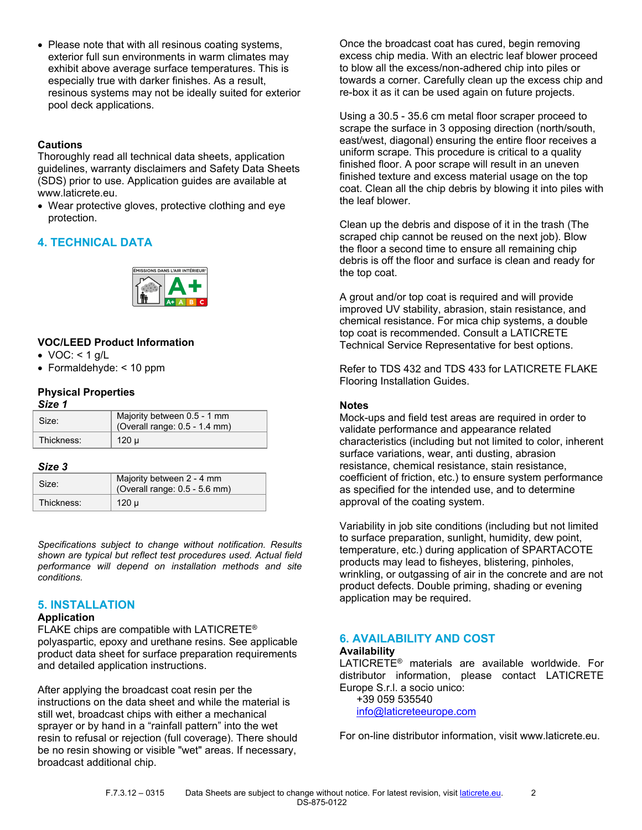• Please note that with all resinous coating systems, exterior full sun environments in warm climates may exhibit above average surface temperatures. This is especially true with darker finishes. As a result, resinous systems may not be ideally suited for exterior pool deck applications.

## **Cautions**

Thoroughly read all technical data sheets, application guidelines, warranty disclaimers and Safety Data Sheets (SDS) prior to use. Application guides are available at www.laticrete.eu.

• Wear protective gloves, protective clothing and eye protection.

# **4. TECHNICAL DATA**



## **VOC/LEED Product Information**

- VOC:  $<$  1 g/L
- Formaldehyde: < 10 ppm

## **Physical Properties**

| ×<br>٩<br>۰. |  |
|--------------|--|
|--------------|--|

| Size:      | Majority between 0.5 - 1 mm<br>(Overall range: 0.5 - 1.4 mm) |
|------------|--------------------------------------------------------------|
| Thickness: | 120 µ                                                        |

#### *Size 3*

| Size:      | Majority between 2 - 4 mm<br>(Overall range: 0.5 - 5.6 mm) |
|------------|------------------------------------------------------------|
| Thickness: | 120 u                                                      |

*Specifications subject to change without notification. Results shown are typical but reflect test procedures used. Actual field performance will depend on installation methods and site conditions.*

## **5. INSTALLATION**

## **Application**

FLAKE chips are compatible with LATICRETE® polyaspartic, epoxy and urethane resins. See applicable product data sheet for surface preparation requirements and detailed application instructions.

After applying the broadcast coat resin per the instructions on the data sheet and while the material is still wet, broadcast chips with either a mechanical sprayer or by hand in a "rainfall pattern" into the wet resin to refusal or rejection (full coverage). There should be no resin showing or visible "wet" areas. If necessary, broadcast additional chip.

Once the broadcast coat has cured, begin removing excess chip media. With an electric leaf blower proceed to blow all the excess/non-adhered chip into piles or towards a corner. Carefully clean up the excess chip and re-box it as it can be used again on future projects.

Using a 30.5 - 35.6 cm metal floor scraper proceed to scrape the surface in 3 opposing direction (north/south, east/west, diagonal) ensuring the entire floor receives a uniform scrape. This procedure is critical to a quality finished floor. A poor scrape will result in an uneven finished texture and excess material usage on the top coat. Clean all the chip debris by blowing it into piles with the leaf blower.

Clean up the debris and dispose of it in the trash (The scraped chip cannot be reused on the next job). Blow the floor a second time to ensure all remaining chip debris is off the floor and surface is clean and ready for the top coat.

A grout and/or top coat is required and will provide improved UV stability, abrasion, stain resistance, and chemical resistance. For mica chip systems, a double top coat is recommended. Consult a LATICRETE Technical Service Representative for best options.

Refer to [TDS 432 and TDS 433](https://eu.laticrete.com/en/support-and-downloads/technical-datasheets) for LATICRETE FLAKE Flooring Installation Guides.

### **Notes**

Mock-ups and field test areas are required in order to validate performance and appearance related characteristics (including but not limited to color, inherent surface variations, wear, anti dusting, abrasion resistance, chemical resistance, stain resistance, coefficient of friction, etc.) to ensure system performance as specified for the intended use, and to determine approval of the coating system.

Variability in job site conditions (including but not limited to surface preparation, sunlight, humidity, dew point, temperature, etc.) during application of SPARTACOTE products may lead to fisheyes, blistering, pinholes, wrinkling, or outgassing of air in the concrete and are not product defects. Double priming, shading or evening application may be required.

#### **6. AVAILABILITY AND COST Availability**

LATICRETE® materials are available worldwide. For distributor information, please contact LATICRETE Europe S.r.l. a socio unico:

 +39 059 535540 [info@laticreteeurope.com](mailto:info@laticreteeurope.com)

For on-line distributor information, visit www.laticrete.eu.